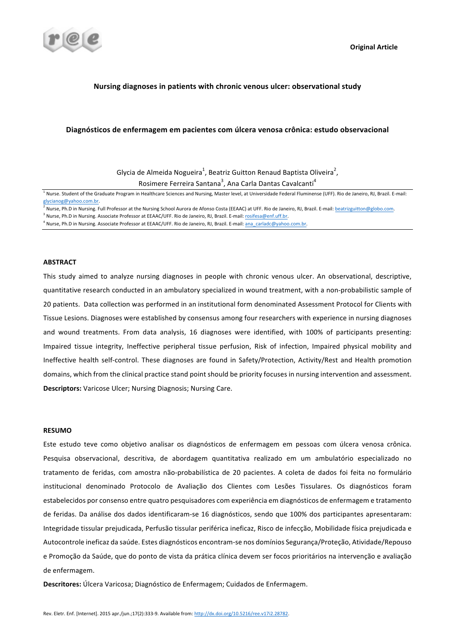

# Nursing diagnoses in patients with chronic venous ulcer: observational study

### Diagnósticos de enfermagem em pacientes com úlcera venosa crônica: estudo observacional

Glycia de Almeida Nogueira<sup>1</sup>, Beatriz Guitton Renaud Baptista Oliveira<sup>2</sup>, Rosimere Ferreira Santana<sup>3</sup>, Ana Carla Dantas Cavalcanti<sup>4</sup>

<sup>1</sup> Nurse. Student of the Graduate Program in Healthcare Sciences and Nursing, Master level, at Universidade Federal Fluminense (UFF). Rio de Janeiro, RJ, Brazil. E-mail: glycianog@yahoo.com.br.

<sup>2</sup> Nurse, Ph.D in Nursing. Full Professor at the Nursing School Aurora de Afonso Costa (EEAAC) at UFF. Rio de Janeiro, RJ, Brazil. E-mail: beatrizguitton@globo.com.

<sup>3</sup> Nurse, Ph.D in Nursing. Associate Professor at EEAAC/UFF. Rio de Janeiro, RJ, Brazil. E-mail: rosifesa@enf.uff.br.

<sup>4</sup> Nurse, Ph.D in Nursing. Associate Professor at EEAAC/UFF. Rio de Janeiro, RJ, Brazil. E-mail: <u>ana\_carladc@yahoo.com.br</u>.

### **ABSTRACT**

This study aimed to analyze nursing diagnoses in people with chronic venous ulcer. An observational, descriptive, quantitative research conducted in an ambulatory specialized in wound treatment, with a non-probabilistic sample of 20 patients. Data collection was performed in an institutional form denominated Assessment Protocol for Clients with Tissue Lesions. Diagnoses were established by consensus among four researchers with experience in nursing diagnoses and wound treatments. From data analysis, 16 diagnoses were identified, with 100% of participants presenting: Impaired tissue integrity, Ineffective peripheral tissue perfusion, Risk of infection, Impaired physical mobility and Ineffective health self-control. These diagnoses are found in Safety/Protection, Activity/Rest and Health promotion domains, which from the clinical practice stand point should be priority focuses in nursing intervention and assessment. **Descriptors:** Varicose Ulcer; Nursing Diagnosis; Nursing Care.

### **RESUMO**

Este estudo teve como objetivo analisar os diagnósticos de enfermagem em pessoas com úlcera venosa crônica. Pesquisa observacional, descritiva, de abordagem quantitativa realizado em um ambulatório especializado no tratamento de feridas, com amostra não-probabilística de 20 pacientes. A coleta de dados foi feita no formulário institucional denominado Protocolo de Avaliação dos Clientes com Lesões Tissulares. Os diagnósticos foram estabelecidos por consenso entre quatro pesquisadores com experiência em diagnósticos de enfermagem e tratamento de feridas. Da análise dos dados identificaram-se 16 diagnósticos, sendo que 100% dos participantes apresentaram: Integridade tissular prejudicada, Perfusão tissular periférica ineficaz, Risco de infecção, Mobilidade física prejudicada e Autocontrole ineficaz da saúde. Estes diagnósticos encontram-se nos domínios Segurança/Proteção, Atividade/Repouso e Promoção da Saúde, que do ponto de vista da prática clínica devem ser focos prioritários na intervenção e avaliação de enfermagem.

**Descritores:** Úlcera Varicosa: Diagnóstico de Enfermagem; Cuidados de Enfermagem.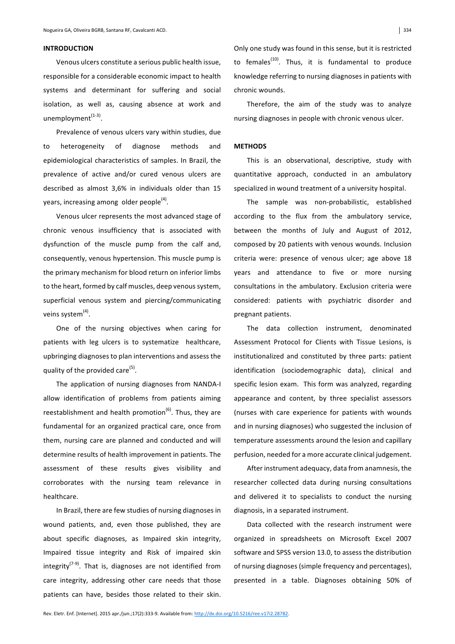### **INTRODUCTION**

Venous ulcers constitute a serious public health issue, responsible for a considerable economic impact to health systems and determinant for suffering and social isolation, as well as, causing absence at work and unemployment $(1-3)$ .

Prevalence of venous ulcers vary within studies, due to heterogeneity of diagnose methods and epidemiological characteristics of samples. In Brazil, the prevalence of active and/or cured venous ulcers are described as almost 3,6% in individuals older than 15 years, increasing among older people<sup>(4)</sup>.

Venous ulcer represents the most advanced stage of chronic venous insufficiency that is associated with dysfunction of the muscle pump from the calf and, consequently, venous hypertension. This muscle pump is the primary mechanism for blood return on inferior limbs to the heart, formed by calf muscles, deep venous system, superficial venous system and piercing/communicating veins system $<sup>(4)</sup>$ .</sup>

One of the nursing objectives when caring for patients with leg ulcers is to systematize healthcare, upbringing diagnoses to plan interventions and assess the quality of the provided care<sup>(5)</sup>.

The application of nursing diagnoses from NANDA-I allow identification of problems from patients aiming reestablishment and health promotion<sup>(6)</sup>. Thus, they are fundamental for an organized practical care, once from them, nursing care are planned and conducted and will determine results of health improvement in patients. The assessment of these results gives visibility and corroborates with the nursing team relevance in healthcare. 

In Brazil, there are few studies of nursing diagnoses in wound patients, and, even those published, they are about specific diagnoses, as Impaired skin integrity, Impaired tissue integrity and Risk of impaired skin integrity<sup>( $7-9$ )</sup>. That is, diagnoses are not identified from care integrity, addressing other care needs that those patients can have, besides those related to their skin.

Only one study was found in this sense, but it is restricted to females $(10)$ . Thus, it is fundamental to produce knowledge referring to nursing diagnoses in patients with chronic wounds.

Therefore, the aim of the study was to analyze nursing diagnoses in people with chronic venous ulcer.

## **METHODS**

This is an observational, descriptive, study with quantitative approach, conducted in an ambulatory specialized in wound treatment of a university hospital.

The sample was non-probabilistic, established according to the flux from the ambulatory service, between the months of July and August of 2012, composed by 20 patients with venous wounds. Inclusion criteria were: presence of venous ulcer; age above 18 years and attendance to five or more nursing consultations in the ambulatory. Exclusion criteria were considered: patients with psychiatric disorder and pregnant patients.

The data collection instrument, denominated Assessment Protocol for Clients with Tissue Lesions, is institutionalized and constituted by three parts: patient identification (sociodemographic data), clinical and specific lesion exam. This form was analyzed, regarding appearance and content, by three specialist assessors (nurses with care experience for patients with wounds and in nursing diagnoses) who suggested the inclusion of temperature assessments around the lesion and capillary perfusion, needed for a more accurate clinical judgement.

After instrument adequacy, data from anamnesis, the researcher collected data during nursing consultations and delivered it to specialists to conduct the nursing diagnosis, in a separated instrument.

Data collected with the research instrument were organized in spreadsheets on Microsoft Excel 2007 software and SPSS version 13.0, to assess the distribution of nursing diagnoses (simple frequency and percentages), presented in a table. Diagnoses obtaining 50% of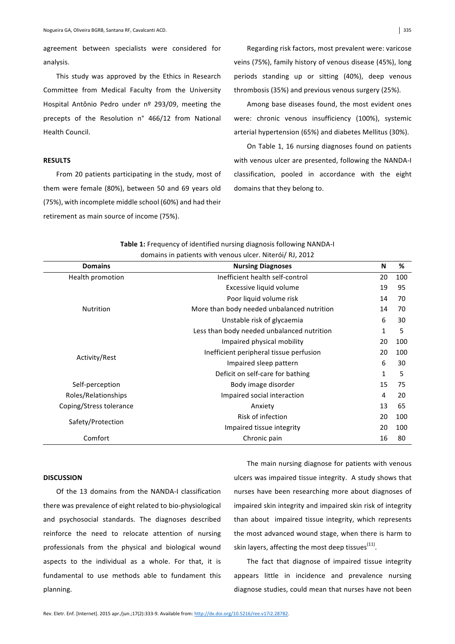agreement between specialists were considered for analysis. 

This study was approved by the Ethics in Research Committee from Medical Faculty from the University Hospital Antônio Pedro under nº 293/09, meeting the precepts of the Resolution n° 466/12 from National Health Council.

### **RESULTS**

From 20 patients participating in the study, most of them were female (80%), between 50 and 69 years old (75%), with incomplete middle school (60%) and had their retirement as main source of income (75%).

Regarding risk factors, most prevalent were: varicose veins (75%), family history of venous disease (45%), long periods standing up or sitting (40%), deep venous thrombosis (35%) and previous venous surgery (25%).

Among base diseases found, the most evident ones were: chronic venous insufficiency (100%), systemic arterial hypertension (65%) and diabetes Mellitus (30%).

On Table 1, 16 nursing diagnoses found on patients with venous ulcer are presented, following the NANDA-I classification, pooled in accordance with the eight domains that they belong to.

| <b>Domains</b>          | <b>Nursing Diagnoses</b>                   | N  | %   |
|-------------------------|--------------------------------------------|----|-----|
| Health promotion        | Inefficient health self-control            | 20 | 100 |
| Nutrition               | Excessive liquid volume                    | 19 | 95  |
|                         | Poor liquid volume risk                    | 14 | 70  |
|                         | More than body needed unbalanced nutrition | 14 | 70  |
|                         | Unstable risk of glycaemia                 | 6  | 30  |
|                         | Less than body needed unbalanced nutrition | 1  | 5   |
| Activity/Rest           | Impaired physical mobility                 | 20 | 100 |
|                         | Inefficient peripheral tissue perfusion    | 20 | 100 |
|                         | Impaired sleep pattern                     | 6  | 30  |
|                         | Deficit on self-care for bathing           | 1  | 5   |
| Self-perception         | Body image disorder                        | 15 | 75  |
| Roles/Relationships     | Impaired social interaction                | 4  | 20  |
| Coping/Stress tolerance | Anxiety                                    | 13 | 65  |
| Safety/Protection       | Risk of infection                          | 20 | 100 |
|                         | Impaired tissue integrity                  | 20 | 100 |
| Comfort                 | Chronic pain                               | 16 | 80  |

### Table 1: Frequency of identified nursing diagnosis following NANDA-I domains in patients with venous ulcer. Niterói/ RL 2012

# **DISCUSSION**

Of the 13 domains from the NANDA-I classification there was prevalence of eight related to bio-physiological and psychosocial standards. The diagnoses described reinforce the need to relocate attention of nursing professionals from the physical and biological wound aspects to the individual as a whole. For that, it is fundamental to use methods able to fundament this planning. 

The main nursing diagnose for patients with venous ulcers was impaired tissue integrity. A study shows that nurses have been researching more about diagnoses of impaired skin integrity and impaired skin risk of integrity than about impaired tissue integrity, which represents the most advanced wound stage, when there is harm to skin layers, affecting the most deep tissues $<sup>(11)</sup>$ .</sup>

The fact that diagnose of impaired tissue integrity appears little in incidence and prevalence nursing diagnose studies, could mean that nurses have not been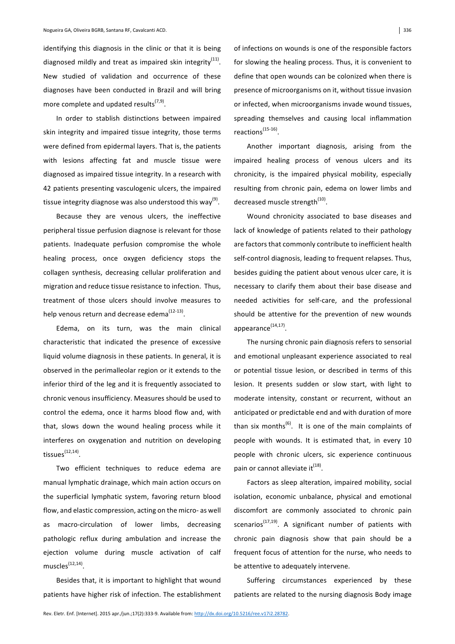identifying this diagnosis in the clinic or that it is being diagnosed mildly and treat as impaired skin integrity<sup>(11)</sup>. New studied of validation and occurrence of these diagnoses have been conducted in Brazil and will bring more complete and updated results<sup> $(7,9)$ </sup>.

In order to stablish distinctions between impaired skin integrity and impaired tissue integrity, those terms were defined from epidermal layers. That is, the patients with lesions affecting fat and muscle tissue were diagnosed as impaired tissue integrity. In a research with 42 patients presenting vasculogenic ulcers, the impaired tissue integrity diagnose was also understood this way<sup>(9)</sup>.

Because they are venous ulcers, the ineffective peripheral tissue perfusion diagnose is relevant for those patients. Inadequate perfusion compromise the whole healing process, once oxygen deficiency stops the collagen synthesis, decreasing cellular proliferation and migration and reduce tissue resistance to infection. Thus, treatment of those ulcers should involve measures to help venous return and decrease edema $(12-13)$ .

Edema, on its turn, was the main clinical characteristic that indicated the presence of excessive liquid volume diagnosis in these patients. In general, it is observed in the perimalleolar region or it extends to the inferior third of the leg and it is frequently associated to chronic venous insufficiency. Measures should be used to control the edema, once it harms blood flow and, with that, slows down the wound healing process while it interferes on oxygenation and nutrition on developing tissues $<sup>(12,14)</sup>$ .</sup>

Two efficient techniques to reduce edema are manual lymphatic drainage, which main action occurs on the superficial lymphatic system, favoring return blood flow, and elastic compression, acting on the micro- as well as macro-circulation of lower limbs, decreasing pathologic reflux during ambulation and increase the ejection volume during muscle activation of calf muscles $^{(12,14)}$ .

Besides that, it is important to highlight that wound patients have higher risk of infection. The establishment of infections on wounds is one of the responsible factors for slowing the healing process. Thus, it is convenient to define that open wounds can be colonized when there is presence of microorganisms on it, without tissue invasion or infected, when microorganisms invade wound tissues, spreading themselves and causing local inflammation reactions(15-16).

Another important diagnosis, arising from the impaired healing process of venous ulcers and its chronicity, is the impaired physical mobility, especially resulting from chronic pain, edema on lower limbs and decreased muscle strength<sup>(10)</sup>.

Wound chronicity associated to base diseases and lack of knowledge of patients related to their pathology are factors that commonly contribute to inefficient health self-control diagnosis, leading to frequent relapses. Thus, besides guiding the patient about venous ulcer care, it is necessary to clarify them about their base disease and needed activities for self-care, and the professional should be attentive for the prevention of new wounds  $appearance$  $(14,17)$ .

The nursing chronic pain diagnosis refers to sensorial and emotional unpleasant experience associated to real or potential tissue lesion, or described in terms of this lesion. It presents sudden or slow start, with light to moderate intensity, constant or recurrent, without an anticipated or predictable end and with duration of more than six months<sup>(6)</sup>. It is one of the main complaints of people with wounds. It is estimated that, in every 10 people with chronic ulcers, sic experience continuous pain or cannot alleviate it<sup>(18)</sup>.

Factors as sleep alteration, impaired mobility, social isolation, economic unbalance, physical and emotional discomfort are commonly associated to chronic pain scenarios<sup>(17,19)</sup>. A significant number of patients with chronic pain diagnosis show that pain should be a frequent focus of attention for the nurse, who needs to be attentive to adequately intervene.

Suffering circumstances experienced by these patients are related to the nursing diagnosis Body image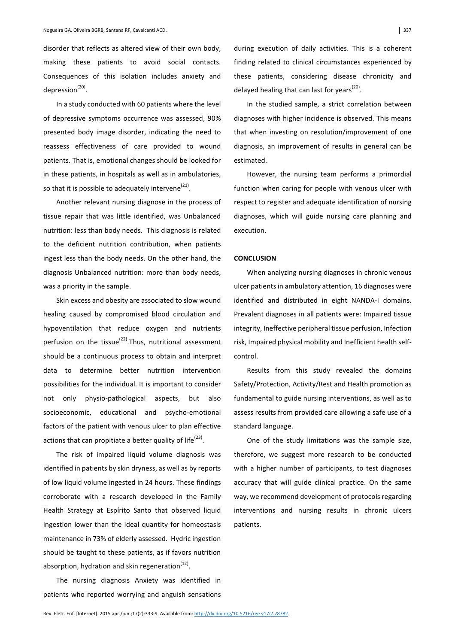disorder that reflects as altered view of their own body. making these patients to avoid social contacts. Consequences of this isolation includes anxiety and depression<sup>(20)</sup>.

In a study conducted with 60 patients where the level of depressive symptoms occurrence was assessed, 90% presented body image disorder, indicating the need to reassess effectiveness of care provided to wound patients. That is, emotional changes should be looked for in these patients, in hospitals as well as in ambulatories, so that it is possible to adequately intervene<sup>(21)</sup>.

Another relevant nursing diagnose in the process of tissue repair that was little identified, was Unbalanced nutrition: less than body needs. This diagnosis is related to the deficient nutrition contribution, when patients ingest less than the body needs. On the other hand, the diagnosis Unbalanced nutrition: more than body needs, was a priority in the sample.

Skin excess and obesity are associated to slow wound healing caused by compromised blood circulation and hypoventilation that reduce oxygen and nutrients perfusion on the tissue<sup>(22)</sup>. Thus, nutritional assessment should be a continuous process to obtain and interpret data to determine better nutrition intervention possibilities for the individual. It is important to consider not only physio-pathological aspects, but also socioeconomic, educational and psycho-emotional factors of the patient with venous ulcer to plan effective actions that can propitiate a better quality of life<sup>(23)</sup>.

The risk of impaired liquid volume diagnosis was identified in patients by skin dryness, as well as by reports of low liquid volume ingested in 24 hours. These findings corroborate with a research developed in the Family Health Strategy at Espírito Santo that observed liquid ingestion lower than the ideal quantity for homeostasis maintenance in 73% of elderly assessed. Hydric ingestion should be taught to these patients, as if favors nutrition absorption, hydration and skin regeneration<sup>(12)</sup>.

The nursing diagnosis Anxiety was identified in patients who reported worrying and anguish sensations during execution of daily activities. This is a coherent finding related to clinical circumstances experienced by these patients, considering disease chronicity and delayed healing that can last for years<sup>(20)</sup>.

In the studied sample, a strict correlation between diagnoses with higher incidence is observed. This means that when investing on resolution/improvement of one diagnosis, an improvement of results in general can be estimated. 

However, the nursing team performs a primordial function when caring for people with venous ulcer with respect to register and adequate identification of nursing diagnoses, which will guide nursing care planning and execution. 

## **CONCLUSION**

When analyzing nursing diagnoses in chronic venous ulcer patients in ambulatory attention, 16 diagnoses were identified and distributed in eight NANDA-I domains. Prevalent diagnoses in all patients were: Impaired tissue integrity, Ineffective peripheral tissue perfusion, Infection risk, Impaired physical mobility and Inefficient health selfcontrol. 

Results from this study revealed the domains Safety/Protection, Activity/Rest and Health promotion as fundamental to guide nursing interventions, as well as to assess results from provided care allowing a safe use of a standard language.

One of the study limitations was the sample size, therefore, we suggest more research to be conducted with a higher number of participants, to test diagnoses accuracy that will guide clinical practice. On the same way, we recommend development of protocols regarding interventions and nursing results in chronic ulcers patients.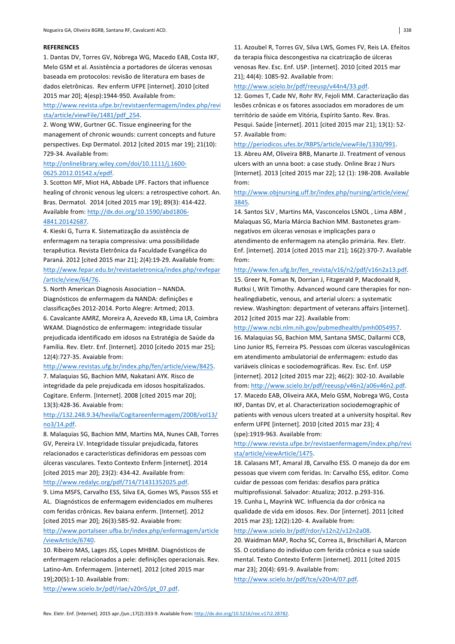### **REFERENCES**

1. Dantas DV, Torres GV, Nóbrega WG, Macedo EAB, Costa IKF, Melo GSM et al. Assistência a portadores de úlceras venosas baseada em protocolos: revisão de literatura em bases de dados eletrônicas. Rev enferm UFPE [internet]. 2010 [cited 2015 mar 20]; 4(esp):1944-950. Available from:

# http://www.revista.ufpe.br/revistaenfermagem/index.php/revi sta/article/viewFile/1481/pdf\_254.

2. Wong WW, Gurtner GC. Tissue engineering for the management of chronic wounds: current concepts and future perspectives. Exp Dermatol. 2012 [cited 2015 mar 19]; 21(10): 729-34. Available from:

## http://onlinelibrary.wiley.com/doi/10.1111/j.1600- 0625.2012.01542.x/epdf.

3. Scotton MF, Miot HA, Abbade LPF. Factors that influence healing of chronic venous leg ulcers: a retrospective cohort. An. Bras. Dermatol. 2014 [cited 2015 mar 19]; 89(3): 414-422. Available from: http://dx.doi.org/10.1590/abd1806-

## 4841.20142687.

4. Kieski G, Turra K. Sistematização da assistência de enfermagem na terapia compressiva: uma possibilidade terapêutica. Revista Eletrônica da Faculdade Evangélica do Paraná. 2012 [cited 2015 mar 21]; 2(4):19-29. Available from: http://www.fepar.edu.br/revistaeletronica/index.php/revfepar /article/view/64/76. 

5. North American Diagnosis Association - NANDA. Diagnósticos de enfermagem da NANDA: definições e classificações 2012-2014. Porto Alegre: Artmed; 2013.

6. Cavalcante AMRZ, Moreira A, Azevedo KB, Lima LR, Coimbra WKAM. Diagnóstico de enfermagem: integridade tissular prejudicada identificado em idosos na Estratégia de Saúde da Família. Rev. Eletr. Enf. [Internet]. 2010 [citedo 2015 mar 25]; 12(4):727-35. Avaiable from:

#### http://www.revistas.ufg.br/index.php/fen/article/view/8425.

7. Malaquias SG, Bachion MM, Nakatani AYK. Risco de integridade da pele prejudicada em idosos hospitalizados. Cogitare. Enferm. [Internet]. 2008 [cited 2015 mar 20]; 13(3):428-36. Avaiable from:

# http://132.248.9.34/hevila/Cogitareenfermagem/2008/vol13/ no3/14.pdf.

8. Malaquias SG, Bachion MM, Martins MA, Nunes CAB, Torres GV, Pereira LV. Integridade tissular prejudicada, fatores relacionados e características definidoras em pessoas com úlceras vasculares. Texto Contexto Enferm [internet]. 2014 [cited 2015 mar 20]; 23(2): 434-42. Available from:

### http://www.redalyc.org/pdf/714/71431352025.pdf.

9. Lima MSFS, Carvalho ESS, Silva EA, Gomes WS, Passos SSS et AL. Diagnósticos de enfermagem evidenciados em mulheres com feridas crônicas. Rev baiana enferm. [Internet]. 2012 [cited 2015 mar 20]; 26(3):585-92. Avaiable from: http://www.portalseer.ufba.br/index.php/enfermagem/article

## /viewArticle/6740.

10. Ribeiro MAS, Lages JSS, Lopes MHBM. Diagnósticos de enfermagem relacionados a pele: definições operacionais. Rev. Latino-Am. Enfermagem. [internet]. 2012 [cited 2015 mar 19];20(5):1-10. Available from:

http://www.scielo.br/pdf/rlae/v20n5/pt\_07.pdf. 

11. Azoubel R, Torres GV, Silva LWS, Gomes FV, Reis LA. Efeitos da terapia física descongestiva na cicatrização de úlceras venosas Rev. Esc. Enf. USP. [internet]. 2010 [cited 2015 mar 21]; 44(4): 1085-92. Available from:

#### http://www.scielo.br/pdf/reeusp/v44n4/33.pdf.

12. Gomes T, Cade NV, Rohr RV, Fejoli MM. Caracterização das lesões crônicas e os fatores associados em moradores de um território de saúde em Vitória, Espírito Santo. Rev. Bras. Pesqui. Saúde [internet]. 2011 [cited 2015 mar 21]; 13(1): 52-57. Available from:

#### http://periodicos.ufes.br/RBPS/article/viewFile/1330/991.

13. Abreu AM, Oliveira BRB, Manarte JJ. Treatment of venous ulcers with an unna boot: a case study. Online Braz J Nurs [Internet]. 2013 [cited 2015 mar 22]; 12 (1): 198-208. Available from: 

## http://www.objnursing.uff.br/index.php/nursing/article/view/ 3845.

14. Santos SLV, Martins MA, Vasconcelos LSNOL, Lima ABM, Malaquas SG, Maria Márcia Bachion MM. Bastonetes gramnegativos em úlceras venosas e implicações para o atendimento de enfermagem na atenção primária. Rev. Eletr. Enf. [internet]. 2014 [cited 2015 mar 21]; 16(2):370-7. Available from: 

#### http://www.fen.ufg.br/fen\_revista/v16/n2/pdf/v16n2a13.pdf.

15. Greer N, Foman N, Dorrian J, Fitzgerald P, Macdonald R, Rutksi I, Wilt Timothy. Advanced wound care therapies for nonhealingdiabetic, venous, and arterial ulcers: a systematic review. Washington: department of veterans affairs [internet]. 2012 [cited 2015 mar 22]. Available from:

#### http://www.ncbi.nlm.nih.gov/pubmedhealth/pmh0054957.

16. Malaquias SG, Bachion MM, Santana SMSC, Dallarmi CCB, Lino Junior RS, Ferreira PS. Pessoas com úlceras vasculogênicas em atendimento ambulatorial de enfermagem: estudo das variáveis clínicas e sociodemográficas. Rev. Esc. Enf. USP [internet]. 2012 [cited 2015 mar 22]; 46(2): 302-10. Available from: http://www.scielo.br/pdf/reeusp/v46n2/a06v46n2.pdf. 

17. Macedo EAB, Oliveira AKA, Melo GSM, Nobrega WG, Costa IKF, Dantas DV, et al. Characterization sociodemographic of patients with venous ulcers treated at a university hospital. Rev enferm UFPE [internet]. 2010 [cited 2015 mar 23]; 4 (spe):1919-963. Available from:

## http://www.revista.ufpe.br/revistaenfermagem/index.php/revi sta/article/viewArticle/1475.

18. Calasans MT, Amaral JB, Carvalho ESS. O manejo da dor em pessoas que vivem com feridas. In: Carvalho ESS, editor. Como cuidar de pessoas com feridas: desafios para prática multiprofissional. Salvador: Atualiza; 2012. p.293-316. 19. Cunha L, Mayrink WC. Influencia da dor crônica na qualidade de vida em idosos. Rev. Dor [internet]. 2011 [cited 2015 mar 23]; 12(2):120- 4. Available from:

#### http://www.scielo.br/pdf/rdor/v12n2/v12n2a08.

20. Waidman MAP, Rocha SC, Correa JL, Brischiliari A, Marcon SS. O cotidiano do indivíduo com ferida crônica e sua saúde mental. Texto Contexto Enferm [internet]. 2011 [cited 2015 mar 23]; 20(4): 691-9. Available from:

http://www.scielo.br/pdf/tce/v20n4/07.pdf.